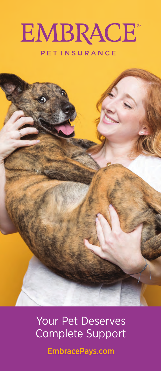

# PETINSURANCE



Your Pet Deserves Complete Support

[EmbracePays.com](https://www.embracepetinsurance.com/?utm_source=vet&utm_medium=collateral&utm_campaign=embracepays)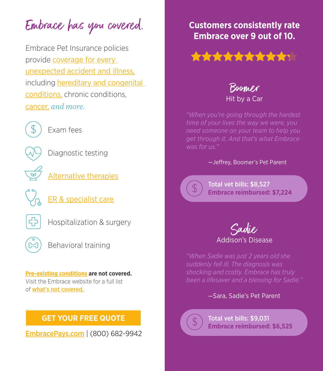Embrace has you covered.

Embrace Pet Insurance policies provide coverage for every [unexpected accident and illness,](https://www.embracepetinsurance.com/coverage/pet-insurance-plan) including [hereditary and congenital](https://www.embracepetinsurance.com/coverage/pet-insurance-plan/genetic-breed-specific-conditions) conditions, chronic conditions, [cancer,](https://www.embracepetinsurance.com/coverage/pet-insurance-plan/cancer) *and more.* 



Exam fees



Diagnostic testing



[Alternative therapies](https://www.embracepetinsurance.com/coverage/pet-insurance-plan/alt-therapies)



[ER & specialist care](https://www.embracepetinsurance.com/coverage/pet-insurance-plan/er-specialist-care)



Hospitalization & surgery



Behavioral training

#### **[Pre-existing conditions](https://www.embracepetinsurance.com/coverage/pet-insurance-plan/pre-ex-conditions) are not covered.**  Visit the Embrace website for a full list of [what's not covered.](https://www.embracepetinsurance.com/coverage/pet-insurance-plan/embrace-terms)

## **[GET YOUR FREE QUOTE](https://www.embracepetinsurance.com/?utm_source=vet&utm_medium=collateral&utm_campaign=embracepays)**

[EmbracePays.com](https://www.embracepetinsurance.com/?utm_source=vet&utm_medium=collateral&utm_campaign=embracepays) | (800) 682-9942

# **Customers consistently rate Embrace over 9 out of 10.**



Hit by a Car Boomer

*"When you're going through the hardest time of your lives the way we were, you need someone on your team to help you get through it. And that's what Embrace was for us."* 

#### -Jeffrey, Boomer's Pet Parent

Total vet bills: \$8,527  **Embrace reimbursed: \$7,224**



*"When Sadie was just 2 years old she suddenly fell ill. The diagnosis was shocking and costly. Embrace has truly been a lifesaver and a blessing for Sadie."* 

—Sara, Sadie's Pet Parent



Total vet bills: \$9,031  **Embrace reimbursed: \$6,525**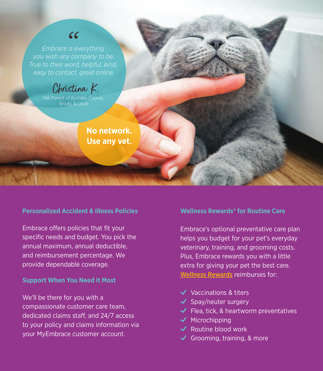# $66$

*Embrace is everything you wish any company to be. True to their word, helpful, kind, easy to contact, great online.*

Christina K.

Pet Parent of Kumiko, Cagnie, Brady, & Louie

> **No network. Use any vet.**

#### **Personalized Accident & Illness Policies**

Embrace offers policies that fit your specific needs and budget. You pick the annual maximum, annual deductible, and reimbursement percentage. We provide dependable coverage.

#### **Support When You Need it Most**

We'll be there for you with a compassionate customer care team, dedicated claims staff, and 24/7 access to your policy and claims information via your MyEmbrace customer account.

#### **Wellness Rewards\* for Routine Care**

Embrace's optional preventative care plan helps you budget for your pet's everyday veterinary, training, and grooming costs. Plus, Embrace rewards you with a little extra for giving your pet the best care. [Wellness Rewards](https://www.embracepetinsurance.com/coverage/wellness-rewards) reimburses for:

- Vaccinations & titers
- $\triangleleft$  Spay/neuter surgery
- $\blacktriangleright$  Flea, tick, & heartworm preventatives
- $\checkmark$  Microchipping
- $\checkmark$  Routine blood work
- Grooming, training, & more